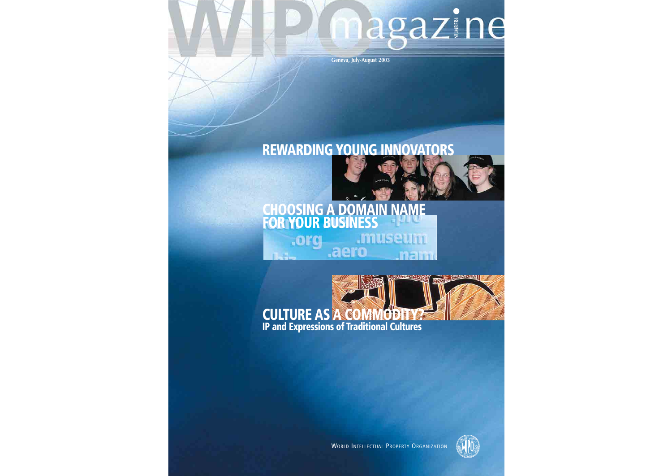# magazine

**Geneva, July-August 2003**

## **REWARDING YOUNG INNOVATORS**

### **CHOOSING A DOMAIN NAME FOR YOUR BUSINESS museur** .org .aero





WORLD INTELLECTUAL PROPERTY ORGANIZATION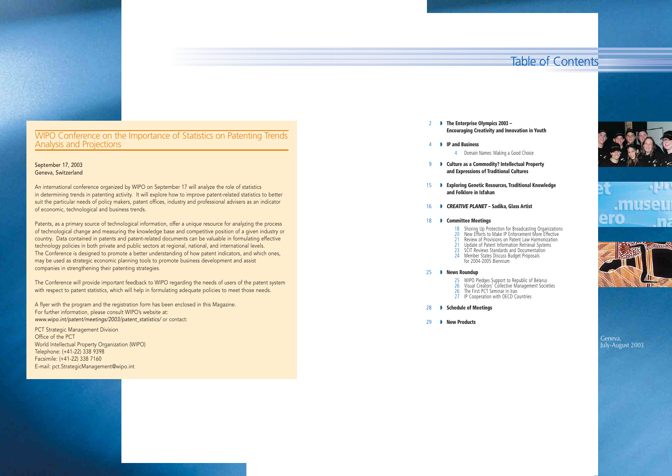

## WIPO Conference on the Importance of Statistics on Patenting Trends<br>Analysis and Projections

- ◗ **The Enterprise Olympics 2003**  2 **Encouraging Creativity and Innovation in Youth**
- ◗ **IP and Business** 4
	- 4 Domain Names: Making a Good Choice
- ◗ **Culture as a Commodity? Intellectual Property**  9 **and Expressions of Traditional Cultures**
- ◗ **Exploring Genetic Resources, Traditional Knowledge**  15 **and Folklore in Isfahan**
- ◗ *CREATIVE PLANET*  **Sadika, Glass Artist** 16
- ◗ **Committee Meetings** 18
	-
	-
	- 23 SCIT Reviews Standards and Documentation
	-
	-

- 25 WIPO Pledges Support to Republic of Belarus
- 
- 27 IP Cooperation with OECD Countries
- ◗ **Schedule of Meetings** 28
- ◗ **New Products**  $29$

 Shoring Up Protection for Broadcasting Organizations 20 New Efforts to Make IP Enforcement More Effective Review of Provisions on Patent Law Harmonization Update of Patent Information Retrieval Systems Member States Discuss Budget Proposals for 2004-2005 Biennium

26 Visual Creators' Collective Management Societies 26 The First PCT Seminar in Iran



#### ◗ **News Roundup** 25

Geneva, July-August 2003

### Table of Contents

The Conference will provide important feedback to WIPO regarding the needs of users of the patent system with respect to patent statistics, which will help in formulating adequate policies to meet those needs.

#### September 17, 2003 Geneva, Switzerland

An international conference organized by WIPO on September 17 will analyze the role of statistics in determining trends in patenting activity. It will explore how to improve patent-related statistics to better suit the particular needs of policy makers, patent offices, industry and professional advisers as an indicator of economic, technological and business trends.

Patents, as a primary source of technological information, offer a unique resource for analyzing the process of technological change and measuring the knowledge base and competitive position of a given industry or country. Data contained in patents and patent-related documents can be valuable in formulating effective technology policies in both private and public sectors at regional, national, and international levels. The Conference is designed to promote a better understanding of how patent indicators, and which ones, may be used as strategic economic planning tools to promote business development and assist companies in strengthening their patenting strategies.

A flyer with the program and the registration form has been enclosed in this Magazine. For further information, please consult WIPO's website at: *www.wipo.int/patent/meetings/2003/patent\_statistics/* or contact:

PCT Strategic Management Division Office of the PCT World Intellectual Property Organization (WIPO) Telephone: (+41-22) 338 9398 Facsimile: (+41-22) 338 7160 E-mail: pct.StrategicManagement@wipo.int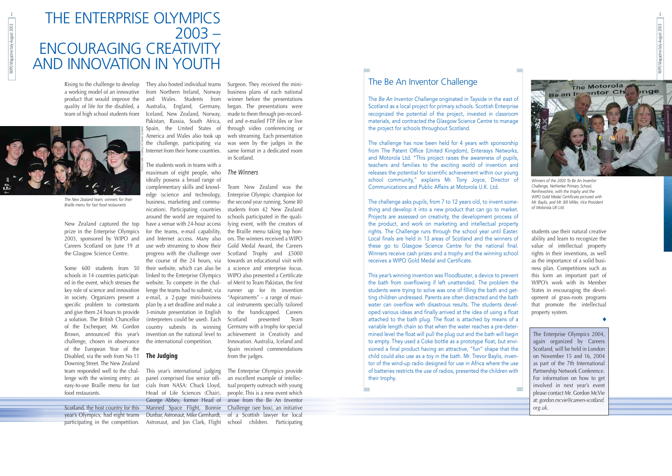students use their natural creative ability and learn to recognize the value of intellectual property rights in their inventions, as well as the importance of a solid business plan. Competitions such as this form an important part of WIPO's work with its Member States in encouraging the development of grass-roots programs that promote the intellectual property system.

### THE ENTERPRISE OLYMPICS 2003 – ENCOURAGING CREATIVITY AND INNOVATION IN YOUTH

◆

The Enterprise Olympics 2004, again organized by Careers Scotland, will be held in London on November 15 and 16, 2004 as part of the 7th International Partnership Network Conference. For information on how to get involved in next year's event please contact Mr. Gordon McVie at: *gordon.mcvie@careers-scotland. org.uk*.

quality of life for the disabled, a team of high school students from



WIPO Magazine/July-August 2003

New Zealand captured the top prize in the Enterprise Olympics for the teams, e-mail capability, 2003, sponsored by WIPO and Careers Scotland on June 19 at the Glasgow Science Centre.

Some 600 students from 50 schools in 14 countries participated in the event, which stresses the key role of science and innovation in society. Organizers present a specific problem to contestants and give them 24 hours to provide a solution. The British Chancellor of the Exchequer, Mr. Gordon Brown, announced this year's challenge, chosen in observance of the European Year of the Disabled, via the web from No 11 **The Judging**  Downing Street. The New Zealand team responded well to the challenge with the winning entry: an easy-to-use Braille menu for fast food restaurants.

Rising to the challenge to develop They also hosted individual teams a working model of an innovative kfrom Northern Ireland, Norway product that would improve the and Wales. Students from Australia, England, Germany, Iceland, New Zealand, Norway, Pakistan, Russia, South Africa, Spain, the United States of America and Wales also took up the challenge, participating via Internet from their home countries.

Scotland, the host country for this Manned Space Flight, Bonnie Challenge (see box), an initiative year's Olympics, had eight teams Dunbar, Astronaut, Mike Gernhardt, of a Scottish lawyer for local participating in the competition. Astronaut, and Jon Clark, Flight school children. Participating

The students work in teams with a maximum of eight people, who ideally possess a broad range of complementary skills and knowledge (science and technology, business, marketing and communication). Participating countries around the world are required to have a venue with 24-hour access and Internet access. Many also use web streaming to show their progress with the challenge over the course of the 24 hours, via their website, which can also be linked to the Enterprise Olympics website. To compete in the challenge the teams had to submit, via e-mail, a 2-page mini-business plan by a set deadline and make a 3-minute presentation in English (interpreters could be used). Each country submits its winning invention on the national level to the international competition.

This year's international judging panel comprised five senior officials from NASA: Chuck Lloyd, Head of Life Sciences (Chair),

Surgeon. They received the minibusiness plans of each national winner before the presentations began. The presentations were made to them through pre-recorded and e-mailed FTP files or live through video conferencing or web streaming. Each presentation was seen by the judges in the same format in a dedicated room in Scotland.

#### *The Winners*

George Abbey, former Head of arose from the Be An Inventor The Enterprise Olympics provide an excellent example of intellectual property outreach with young people. This is a new event which

Team New Zealand was the Enterprise Olympic champion for the second year running. Some 80 students from 42 New Zealand schools participated in the qualifying event, with the creators of the Braille menu taking top honors. The winners received a WIPO Gold Medal Award, the Careers Scotland Trophy and £5000 towards an educational visit with a science and enterprise focus. WIPO also presented a Certificate of Merit to Team Pakistan, the first runner up for its invention "Aspiraments" – a range of musical instruments specially tailored to the handicapped. Careers Scotland presented Team Germany with a trophy for special achievement in Creativity and Innovation. Australia, Iceland and Spain received commendations from the judges.

*The New Zealand team, winners for their Braille menu for fast food restaurants*

*Photos Credit: Courtesy of Careers Scotland*



*Winners of the 2003 To Be An Inventor Challenge, Netherlee Primary School, Renfrewshire, with the trophy and the WIPO Gold Medal Certificate pictured with Mr. Baylis, and Mr. Bill Miller, Vice President of Motorola UK Ltd.*

### The Be An Inventor Challenge

The *Be An Inventor Challenge* originated in Tayside in the east of Scotland as a local project for primary schools. Scottish Enterprise recognized the potential of the project, invested in classroom materials, and contracted the Glasgow Science Centre to manage the project for schools throughout Scotland.

The challenge has now been held for 4 years with sponsorship from The Patent Office (United Kingdom), Enterasys Networks, and Motorola Ltd. "This project raises the awareness of pupils, teachers and families to the exciting world of invention and releases the potential for scientific achievement within our young school community," explains Mr. Tony Joyce, Director of Communications and Public Affairs at Motorola U.K. Ltd.

The challenge asks pupils, from 7 to 12 years old, to invent something and develop it into a new product that can go to market. Projects are assessed on creativity, the development process of the product, and work on marketing and intellectual property rights. The Challenge runs through the school year until Easter. Local finals are held in 13 areas of Scotland and the winners of these go to Glasgow Science Centre for the national final. Winners receive cash prizes and a trophy and the winning school receives a WIPO Gold Medal and Certificate.

This year's winning invention was Floodbuster, a device to prevent the bath from overflowing if left unattended. The problem the students were trying to solve was one of filling the bath and getting children undressed. Parents are often distracted and the bath water can overflow with disastrous results. The students developed various ideas and finally arrived at the idea of using a float attached to the bath plug. The float is attached by means of a variable length chain so that when the water reaches a pre-determined level the float will pull the plug out and the bath will begin to empty. They used a Coke bottle as a prototype float, but envisioned a final product having an attractive, "fun" shape that the child could also use as a toy in the bath. Mr. Trevor Baylis, inventor of the wind-up radio designed for use in Africa where the use of batteries restricts the use of radios, presented the children with their trophy.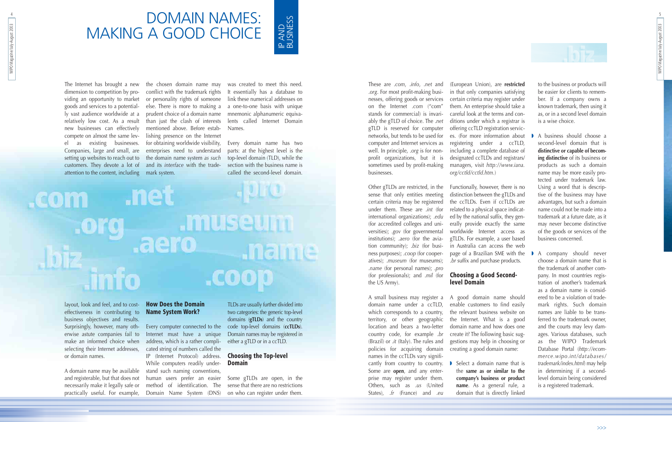These are .*com*, .*info*, .*net* and .*org*. For most profit-making businesses, offering goods or services on the Internet .*com* ("com" stands for commercial) is invariably the gTLD of choice. The .*net* ditions under which a registrar is gTLD is reserved for computer networks, but tends to be used for computer and Internet services as well. In principle, .*org* is for nonprofit organizations, but it is sometimes used by profit-making businesses.

Other gTLDs are restricted, in the sense that only entities meeting certain criteria may be registered under them. These are .*int* (for international organizations); .*edu* (for accredited colleges and universities); .*gov* (for governmental institutions); .*aero* (for the aviation community); .*biz* (for business purposes); .*coop* (for cooperatives); .*museum* (for museums); .*name* (for personal names); .*pro* (for professionals); and .*mil* (for the US Army).

A small business may register a domain name under a ccTLD, which corresponds to a country, territory, or other geographic location and bears a two-letter country code, for example .*br* (Brazil) or .*it* (Italy). The rules and policies for acquiring domain names in the ccTLDs vary significantly from country to country. Some are **open**, and any enterprise may register under them. Others, such as .*us* (United States), .*fr* (France) and .*eu*

■ Select a domain name that is the **same as or similar to the company's business or product name**. As a general rule, a domain that is directly linked



(European Union), are **restricted** in that only companies satisfying certain criteria may register under them. An enterprise should take a careful look at the terms and conoffering ccTLD registration services. (For more information about registering under a ccTLD, including a complete database of designated ccTLDs and registrars/ managers, visit *http://www.iana. org/cctld/cctld.htm.*)

Functionally, however, there is no distinction between the gTLDs and the ccTLDs. Even if ccTLDs are related to a physical space indicated by the national suffix, they generally provide exactly the same worldwide Internet access as gTLDs. For example, a user based in Australia can access the web page of a Brazilian SME with the .*br* suffix and purchase products.

#### **Choosing a Good Secondlevel Domain**

A good domain name should enable customers to find easily the relevant business website on the Internet. What is a good domain name and how does one create it? The following basic suggestions may help in choosing or creating a good domain name:

The Internet has brought a new the chosen domain name may was created to meet this need. dimension to competition by providing an opportunity to market goods and services to a potentially vast audience worldwide at a relatively low cost. As a result new businesses can effectively compete on almost the same lev-lishing presence on the Internet el as existing businesses. for obtaining worldwide visibility, Companies, large and small, are - enterprises need to understand setting up websites to reach out to the domain name system *as such* customers. They devote a lot of and its *interface* with the tradeattention to the content, including mark system.

to the business or products will be easier for clients to remember. If a company owns a known trademark, then using it as, or in a second level domain is a wise choice.

◗ A business should choose a second-level domain that is **distinctive or capable of becoming distinctive** of its business or products as such a domain name may be more easily protected under trademark law. Using a word that is descriptive of the business may have advantages, but such a domain name could not be made into a trademark at a future date, as it may never become distinctive of the goods or services of the business concerned.

◗ A company should never choose a domain name that is the trademark of another company. In most countries registration of another's trademark as a domain name is considered to be a violation of trademark rights. Such domain names are liable to be transferred to the trademark owner, and the courts may levy damages. Various databases, such as the WIPO Trademark Database Portal (*http://ecommerce.wipo.int/databases/ trademark/index.html*) may help in determining if a secondlevel domain being considered is a registered trademark.

WIPO Magazine/July-August 2003 WIPO Magazine/July-August 2003

### DOMAIN NAMES: MAKING A GOOD CHOICE

layout, look and feel, and to cost-**How Does the Domain** effectiveness in contributing to business objectives and results. Surprisingly, however, many oth-Every computer connected to the code top-level domains (**ccTLDs**). erwise astute companies fail to Internet must have a unique make an informed choice when selecting their Internet addresses, or domain names.

A domain name may be available stand such naming conventions, and registerable, but that does not human users prefer an easier practically useful. For example,

conflict with the trademark rights or personality rights of someone else. There is more to making a prudent choice of a domain name than just the clash of interests mentioned above. Before estab-

necessarily make it legally safe or method of identification. The address, which is a rather complicated string of numbers called the IP (Internet Protocol) address. While computers readily under-Domain Name System (DNS)

### **Name System Work?**

It essentially has a database to link these numerical addresses on a one-to-one basis with unique mnemonic alphanumeric equivalents called Internet Domain Names.

Every domain name has two parts: at the highest level is the top-level domain (TLD), while the section with the business name is called the second-level domain.

## .net **COM** .museum **Jielne** .coop

TLDs are usually further divided into two categories: the generic top-level domains (**gTLDs**) and the country Domain names may be registered in either a gTLD or in a ccTLD.

#### **Choosing the Top-level Domain**

Some gTLDs are open, in the sense that there are no restrictions on who can register under them.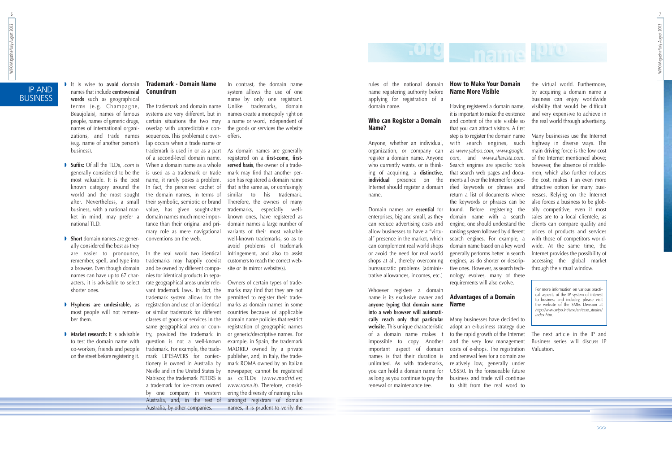WIPO Magazine/July-August 2003 7

WIPO Magazine/July-August 2003

rules of the national domain name registering authority before applying for registration of a domain name.

#### **Who can Register a Domain Name?**

Anyone, whether an individual, organization, or company can register a domain name. Anyone who currently wants, or is thinking of acquiring, a **distinctive**, **individual** presence on the Internet should register a domain name.

Domain names are **essential** for enterprises, big and small, as they can reduce advertising costs and allow businesses to have a "virtual" presence in the market, which can complement real world shops or avoid the need for real world shops at all, thereby overcoming bureaucratic problems (administrative allowances, incomes, etc.)

Whoever registers a domain name is its exclusive owner and **anyone typing that domain name into a web browser will automatically reach only that particular website**. This unique characteristic of a domain name makes it impossible to copy. Another important aspect of domain names is that their duration is unlimited. As with trademarks, you can hold a domain name for as long as you continue to pay the renewal or maintenance fee.

### **How to Make Your Domain Name More Visible**

Having registered a domain name, it is important to make the existence and content of the site visible so that you can attract visitors. A first step is to register the domain name with search engines, such as *www.yahoo.com*, *www.google. com*, and *www.altavista.com*. Search engines are specific tools that search web pages and documents all over the Internet for specified keywords or phrases and return a list of documents where the keywords or phrases can be found. Before registering the domain name with a search engine, one should understand the ranking system followed by different search engines. For example, a domain name based on a key word generally performs better in search engines, as do shorter or descriptive ones. However, as search technology evolves, many of these requirements will also evolve.

#### **Advantages of a Domain Name**

Many businesses have decided to adopt an e-business strategy due to the rapid growth of the Internet and the very low management costs of e-shops. The registration and renewal fees for a domain are relatively low, generally under US\$50. In the foreseeable future business and trade will continue to shift from the real word to

## **Pugname**

the virtual world. Furthermore, by acquiring a domain name a business can enjoy worldwide visibility that would be difficult and very expensive to achieve in the real world through advertising.

**• Market research:** It is advisable try, provided the trademark in In the real world two identical trademarks may happily coexist and be owned by different companies for identical products in separate geographical areas under relevant trademark laws. In fact, the trademark system allows for the registration and use of an identical or similar trademark for different classes of goods or services in the same geographical area or counquestion is not a well-known trademark. For example, the trademark LIFESAVERS for confectionery is owned in Australia by Nestle and in the United States by Nabisco; the trademark PETERS is a trademark for ice-cream owned by one company in western Australia, and, in the rest of Australia, by other companies.

Many businesses use the Internet highway in diverse ways. The main driving force is the low cost of the Internet mentioned above; however, the absence of middlemen, which also further reduces the cost, makes it an even more attractive option for many businesses. Relying on the Internet also forces a business to be globally competitive, even if most sales are to a local clientele, as clients can compare quality and prices of products and services with those of competitors worldwide. At the same time, the Internet provides the possibility of accessing the global market through the virtual window.

The next article in the IP and Business series will discuss IP Valuation.

names that include **controversial words** such as geographical terms (e.g. Champagne, Beaujolais), names of famous people, names of generic drugs, names of international organizations, and trade names (e.g. name of another person's

business).

◗ **Suffix:** Of all the TLDs, .*com* is generally considered to be the most valuable. It is the best known category around the world and the most sought after. Nevertheless, a small business, with a national market in mind, may prefer a national TLD.

#### ◗ It is wise to **avoid** domain **Trademark - Domain Name Conundrum**

- ◗ **Short** domain names are gener-conventions on the web. ally considered the best as they are easier to pronounce, remember, spell, and type into a browser. Even though domain names can have up to 67 characters, it is advisable to select shorter ones.
- ◗ **Hyphens are undesirable,** as most people will not remember them.
- to test the domain name with co-workers, friends and people on the street before registering it.

The trademark and domain name systems are very different, but in certain situations the two may overlap with unpredictable consequences. This problematic overlap occurs when a trade name or trademark is used in or as a part of a second-level domain name. When a domain name as a whole is used as a trademark or trade name, it rarely poses a problem. In fact, the perceived cachet of the domain names, in terms of their symbolic, semiotic or brand value, has given sought-after domain names much more importance than their original and primary role as mere navigational

In contrast, the domain name system allows the use of one name by only one registrant. Unlike trademarks, domain names create a monopoly right on a name or word, independent of the goods or services the website offers.

As domain names are generally registered on a **first-come, firstserved basis**, the owner of a trademark may find that another person has registered a domain name that is the same as, or confusingly similar to his trademark. Therefore, the owners of many trademarks, especially wellknown ones, have registered as domain names a large number of variants of their most valuable well-known trademarks, so as to avoid problems of trademark infringement, and also to assist customers to reach the correct website or its mirror website(s).

Owners of certain types of trademarks may find that they are not permitted to register their trademarks as domain names in some countries because of applicable domain name policies that restrict registration of geographic names or generic/descriptive names. For example, in Spain, the trademark MADRID owned by a private publisher, and, in Italy, the trademark ROMA owned by an Italian newspaper, cannot be registered as ccTLDs (*www.madrid.es*; *www.roma.it*). Therefore, considering the diversity of naming rules amongst registrars of domain names, it is prudent to verify the

IP AND BUSINESS

>>>

For more information on various practical aspects of the IP system of interest to business and industry, please visit the website of the SMEs Division at *http://www.wipo.int/sme/en/case\_studies/ index.htm.*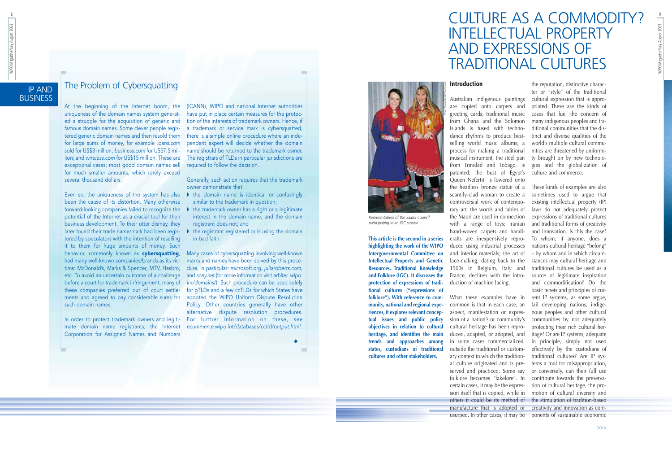**BUSINESS** 

### IP AND The Problem of Cybersquatting

### CULTURE AS A COMMODITY? INTELLECTUAL PROPERTY AND EXPRESSIONS OF TRADITIONAL CULTURES

**This article is the second in a series highlighting the work of the WIPO Intergovernmental Committee on Intellectual Property and Genetic Resources, Traditional Knowledge and Folklore (IGC). It discusses the protection of expressions of traditional cultures ("expressions of folklore"). With reference to community, national and regional experiences, it explores relevant conceptual issues and public policy objectives in relation to cultural heritage, and identifies the main trends and approaches among states, custodians of traditional cultures and other stakeholders.**

### **Introduction**

are copied onto carpets and greeting cards; traditional music Islands is fused with technodance rhythms to produce bestselling world music albums; a process for making a traditional from Trinidad and Tobago, is patented; the bust of Egypt's Queen Nefertiti is lowered onto

Australian indigenous paintings cultural expression that is approfrom Ghana and the Solomon many indigenous peoples and tramusical instrument, the steel pan ty brought on by new technolothe reputation, distinctive character or "style" of the traditional priated. These are the kinds of cases that fuel the concern of ditional communities that the distinct and diverse qualities of the world's multiple cultural communities are threatened by uniformigies and the globalization of culture and commerce.

the headless bronze statue of a These kinds of examples are also scantily-clad woman to create a controversial work of contemporary art; the words and fables of laws do not adequately protect the Maori are used in connection expressions of traditional cultures with a range of toys; Iranian hand-woven carpets and handicrafts are inexpensively reproduced using industrial processes and inferior materials; the art of lace-making, dating back to the 1500s in Belgium, Italy and France, declines with the introduction of machine lacing. What these examples have in rent IP systems, as some argue, common is that in each case, an aspect, manifestation or expression of a nation's or community's cultural heritage has been reproduced, adapted, or adopted, and in some cases commercialized, outside the traditional or customary context in which the tradition-traditional cultures? Are IP sysal culture originated and is pre-tems a tool for misappropriation, served and practiced. Some say or conversely, can their full use folklore becomes "fakelore". In contribute towards the preservacertain cases, it may be the expres-tion of cultural heritage, the prosion itself that is copied, while in motion of cultural diversity and others it could be its method of the stimulation of tradition-based manufacture that is adopted or creativity and innovation as comusurped. In other cases, it may be ponents of sustainable economic sometimes used to argue that existing intellectual property (IP) and traditional forms of creativity and innovation. Is this the case? To whom, if anyone, does a nation's cultural heritage "belong" – by whom and in which circumstances may cultural heritage and traditional cultures be used as a source of legitimate inspiration and commodification? Do the basic tenets and principles of curfail developing nations, indigenous peoples and other cultural communities by not adequately protecting their rich cultural heritage? Or are IP systems, adequate in principle, simply not used effectively by the custodians of

At the beginning of the Internet boom, the uniqueness of the domain names system generated a struggle for the acquisition of generic and famous domain names. Some clever people registered generic domain names and then resold them for large sums of money, for example *loans.com* sold for US\$3 million; *business.com* for US\$7.5 million; and *wireless.com* for US\$15 million. These are exceptional cases; most good domain names sell for much smaller amounts, which rarely exceed several thousand dollars.

been the cause of its distortion. Many otherwise forward-looking companies failed to recognize the potential of the Internet as a crucial tool for their business development. To their utter dismay, they later found their trade name/mark had been regis- ● the registrant registered or is using the domain tered by speculators with the intention of reselling it to them for huge amounts of money. Such behavior, commonly known as cybersquatting, had many well-known companies/brands as its victims: McDonald's, Marks & Spencer, MTV, Hasbro, etc. To avoid an uncertain outcome of a challenge before a court for trademark infringement, many of these companies preferred out of court settlements and agreed to pay considerable sums for such domain names.

In order to protect trademark owners and legitimate domain name registrants, the Internet Corporation for Assigned Names and Numbers

- Even so, the uniqueness of the system has also ◗ the domain name is identical or confusingly similar to the trademark in question:
	- ◗ the trademark owner has a right or a legitimate interest in the domain name, and the domain registrant does not; and
	- in bad faith.

(ICANN), WIPO and national Internet authorities have put in place certain measures for the protection of the interests of trademark owners. Hence, if a trademark or service mark is cybersquatted, there is a simple online procedure where an independent expert will decide whether the domain name should be returned to the trademark owner. The registrars of TLDs in particular jurisdictions are required to follow the decision.

Generally, such action requires that the trademark owner demonstrate that

Many cases of cybersquatting involving well-known marks and names have been solved by this procedure, in particular: *microsoft.org*, *juliaroberts.com*, and *sony.ne<sup>t</sup>* (for more information visit *arbiter. wipo. int/domains*/). Such procedure can be used solely for gTLDs and a few ccTLDs for which States have adopted the WIPO Uniform Dispute Resolution Policy. Other countries generally have other alternative dispute resolution procedures. For further information on these, see *ecommerce.wipo.int/databases/cctld/output.html*.

◆



*Representatives of the Saami Council participating in an IGC session*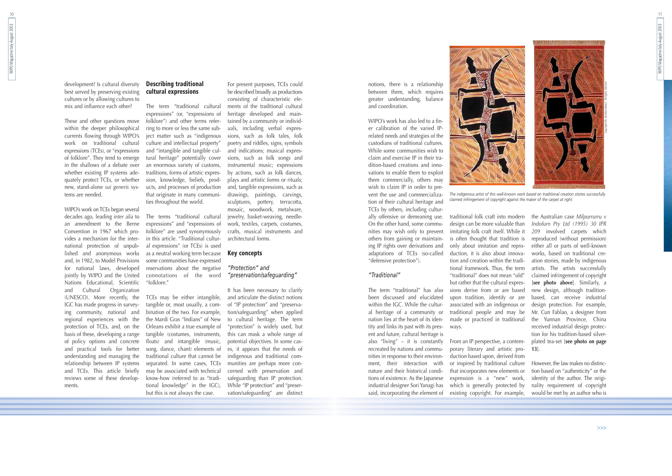11

notions, there is a relationship between them, which requires greater understanding, balance and coordination.

WIPO's work has also led to a finer calibration of the varied IPrelated needs and strategies of the custodians of traditional cultures. While some communities wish to claim and exercise IP in their tradition-based creations and innovations to enable them to exploit them commercially, others may wish to claim IP in order to prevent the use and commercialization of their cultural heritage and TCEs by others, including culturally offensive or demeaning use. On the other hand, some communities may wish only to prevent others from gaining or maintaining IP rights over derivations and adaptations of TCEs (so-called

"defensive protection").

#### *"Traditional"*

The term "traditional" has also been discussed and elucidated within the IGC. While the cultural heritage of a community or nation lies at the heart of its identity and links its past with its present and future, cultural heritage is also "living" – it is constantly recreated by nations and communities in response to their environment, their interaction with nature and their historical conditions of existence. As the Japanese industrial designer Sori Yanagi has said, incorporating the element of

traditional folk craft into modern design can be more valuable than imitating folk craft itself. While it is often thought that tradition is only about imitation and reproduction, it is also about innovation and creation within the traditional framework. Thus, the term "traditional" does not mean "old" but rather that the cultural expressions derive from or are based upon tradition, identify or are associated with an indigenous or traditional people and may be made or practiced in traditional ways.

From an IP perspective, a contemporary literary and artistic production based upon, derived from or inspired by traditional culture that incorporates new elements or expression is a "new" work, which is generally protected by existing copyright. For example,

the Australian case *Milpurrurru v Indofurn Pty Ltd (1995) 30 IPR <sup>209</sup>* involved carpets which reproduced (without permission) either all or parts of well-known works, based on traditional creation stories, made by indigenous artists. The artists successfully claimed infringement of copyright [**see photo above**]. Similarly, a new design, although traditionbased, can receive industrial design protection. For example, Mr. Cun Fablao, a designer from the Yunnan Province, China received industrial design protection for his tradition-based silverplated tea-set [**see photo on page 13**].

However, the law makes no distinction based on "authenticity" or the identity of the author. The originality requirement of copyright would be met by an author who is

10

development? Is cultural diversity best served by preserving existing cultures or by allowing cultures to mix and influence each other?

These and other questions move within the deeper philosophical currents flowing through WIPO's work on traditional cultural expressions (TCEs), or "expressions of folklore". They tend to emerge in the shallows of a debate over whether existing IP systems adequately protect TCEs, or whether new, stand-alone *sui generis* systems are needed.

WIPO's work on TCEs began several decades ago, leading *inter alia* to an amendment to the Berne Convention in 1967 which provides a mechanism for the international protection of unpublished and anonymous works and, in 1982, to Model Provisions for national laws, developed jointly by WIPO and the United Nations Educational, Scientific and Cultural Organization (UNESCO). More recently, the IGC has made progress in surveying community, national and regional experiences with the protection of TCEs, and, on the basis of these, developing a range of policy options and concrete and practical tools for better understanding and managing the relationship between IP systems and TCEs. This article briefly reviews some of these developments.

#### **Describing traditional cultural expressions**

The term "traditional cultural expressions" (or, "expressions of folklore") and other terms referring to more or less the same subject matter such as "indigenous culture and intellectual property" and "intangible and tangible cultural heritage" potentially cover an enormous variety of customs, traditions, forms of artistic expression, knowledge, beliefs, products, and processes of production that originate in many communities throughout the world.

The terms "traditional cultural expressions" and "expressions of folklore" are used synonymously in this article. "Traditional cultural expressions" (or TCEs) is used as a neutral working term because some communities have expressed reservations about the negative connotations of the word "folklore."

TCEs may be either intangible, tangible or, most usually, a combination of the two. For example, the Mardi Gras "Indians" of New Orleans exhibit a true example of tangible (costumes, instruments, floats) and intangible (music, song, dance, chant) elements of traditional culture that cannot be separated. In some cases, TCEs may be associated with technical know-how (referred to as "traditional knowledge" in the IGC), but this is not always the case.

For present purposes, TCEs could be described broadly as productions consisting of characteristic elements of the traditional cultural heritage developed and maintained by a community or individuals, including verbal expressions, such as folk tales, folk poetry and riddles, signs, symbols and indications; musical expressions, such as folk songs and instrumental music; expressions by actions, such as folk dances, plays and artistic forms or rituals; and, tangible expressions, such as drawings, paintings, carvings, sculptures, pottery, terracotta, mosaic, woodwork, metalware, jewelry, basket-weaving, needlework, textiles, carpets, costumes, crafts, musical instruments and architectural forms.

#### **Key concepts**

#### *"Protection" and "preservation/safeguarding"*

It has been necessary to clarify and articulate the distinct notions of "IP protection" and "preservation/safeguarding" when applied to cultural heritage. The term "protection" is widely used, but this can mask a whole range of potential objectives. In some cases, it appears that the needs of indigenous and traditional communities are perhaps more concerned with preservation and safeguarding than IP protection. While "IP protection" and "preservation/safeguarding" are distinct



*The indigenous artist of this well-known work based on traditional creation stories successfully claimed infringement of copyright against the maker of the carpet at right.*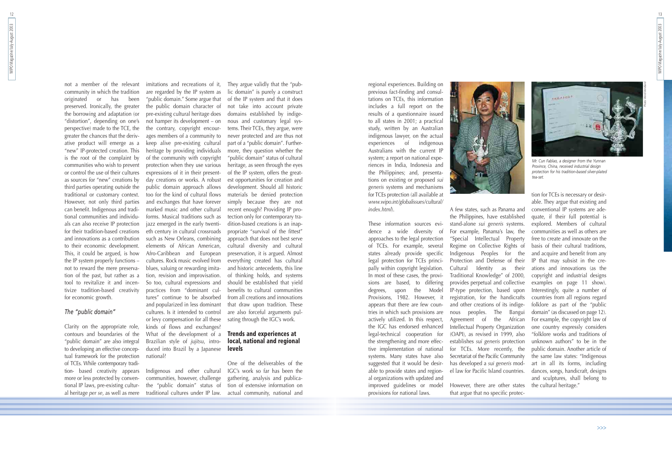13

regional experiences. Building on previous fact-finding and consultations on TCEs, this information includes a full report on the results of a questionnaire issued to all states in 2001; a practical study, written by an Australian indigenous lawyer, on the actual experiences of indigenous Australians with the current IP system; a report on national experiences in India, Indonesia and the Philippines; and, presentations on existing or proposed *sui generis* systems and mechanisms for TCEs protection (all available at *www.wipo.int/globalissues/cultural/ index.html*).

These information sources evidence a wide diversity of approaches to the legal protection of TCEs. For example, several states already provide specific legal protection for TCEs principally within copyright legislation. In most of these cases, the provisions are based, to differing degrees, upon the Model Provisions, 1982. However, it appears that there are few countries in which such provisions are actively utilized. In this respect, the IGC has endorsed enhanced legal-technical cooperation for the strengthening and more effective implementation of national systems. Many states have also suggested that it would be desirable to provide states and regional organizations with updated and improved guidelines or model provisions for national laws.



A few states, such as Panama and the Philippines, have established stand-alone *sui generis* systems. For example, Panama's law, the "Special Intellectual Property Regime on Collective Rights of Indigenous Peoples for the Protection and Defense of their Cultural Identity as their Traditional Knowledge" of 2000, provides perpetual and collective IP-type protection, based upon registration, for the handicrafts and other creations of its indigenous peoples. The Bangui Agreement of the African Intellectual Property Organization (OAPI), as revised in 1999, also establishes *sui generis* protection for TCEs. More recently, the Secretariat of the Pacific Community has developed a *sui generis* mod-

However, there are other states that argue that no specific protec-

el law for Pacific Island countries. dances, songs, handicraft, designs tion for TCEs is necessary or desir able. They argue that existing and conventional IP systems are ade quate, if their full potential is explored. Members of cultural communities as well as others are free to create and innovate on the basis of their cultural traditions, and acquire and benefit from any IP that may subsist in the cre ations and innovations (as the copyright and industrial designs examples on page 11 show). Interestingly, quite a number of countries from all regions regard folklore as part of the "public domain" (as discussed on page 12). For example, the copyright law of one country expressly considers "folklore works and traditions of unknown authors" to be in the public domain. Another article of the same law states: "Indigenous art in all its forms, including and sculptures, shall belong to the cultural heritage."

12

not a member of the relevant community in which the tradition<br>originated or has been originated or preserved. Ironically, the greater the borrowing and adaptation (or "distortion", depending on one's perspective) made to the TCE, the greater the chances that the derivative product will emerge as a "new" IP-protected creation. This is the root of the complaint by communities who wish to prevent or control the use of their cultures as sources for "new" creations by third parties operating outside the traditional or customary context. However, not only third parties can benefit. Indigenous and traditional communities and individuals can also receive IP protection for their tradition-based creations and innovations as a contribution to their economic development. This, it could be argued, is how the IP system properly functions – not to reward the mere preservation of the past, but rather as a tool to revitalize it and incentivize tradition-based creativity for economic growth.

#### *The "public domain"*

Clarity on the appropriate role, contours and boundaries of the "public domain" are also integral to developing an effective conceptual framework for the protection of TCEs. While contemporary tradition- based creativity appears Indigenous and other cultural more or less protected by conventional IP laws, pre-existing cultur-

imitations and recreations of it, are regarded by the IP system as "public domain." Some argue that the public domain character of pre-existing cultural heritage does not hamper its development – on the contrary, copyright encourages members of a community to keep alive pre-existing cultural heritage by providing individuals of the community with copyright protection when they use various expressions of it in their presentday creations or works. A robust public domain approach allows too for the kind of cultural flows and exchanges that have forever marked music and other cultural forms. Musical traditions such as jazz emerged in the early twentieth century in cultural crossroads such as New Orleans, combining elements of African American, Afro-Caribbean and European cultures. Rock music evolved from blues, valuing or rewarding imitation, revision and improvisation. So too, cultural expressions and practices from "dominant cultures" continue to be absorbed and popularized in less dominant cultures. Is it intended to control or levy compensation for all these kinds of flows and exchanges? What of the development of a Brazilian style of *jujitsu*, introduced into Brazil by a Japanese national?

al heritage *per se*, as well as mere traditional cultures under IP law. communities, however, challenge the "public domain" status of

They argue validly that the "public domain" is purely a construct of the IP system and that it does not take into account private domains established by indigenous and customary legal systems. Their TCEs, they argue, were never protected and are thus not part of a "public domain". Furthermore, they question whether the "public domain" status of cultural heritage, as seen through the eyes of the IP system, offers the greatest opportunities for creation and development. Should all historic materials be denied protection simply because they are not recent enough? Providing IP protection only for contemporary tradition-based creations is an inappropriate "survival of the fittest" approach that does not best serve cultural diversity and cultural preservation, it is argued. Almost everything created has cultural and historic antecedents, this line of thinking holds, and systems should be established that yield benefits to cultural communities from all creations and innovations that draw upon tradition. These are also forceful arguments pulsating through the IGC's work.

#### **Trends and experiences at local, national and regional levels**

One of the deliverables of the IGC's work so far has been the gathering, analysis and publication of extensive information on actual community, national and



*Mr. Cun Fablao, a designer from the Yunnan Province, China, received industrial design protection for his tradition-based silver-plated tea-set.*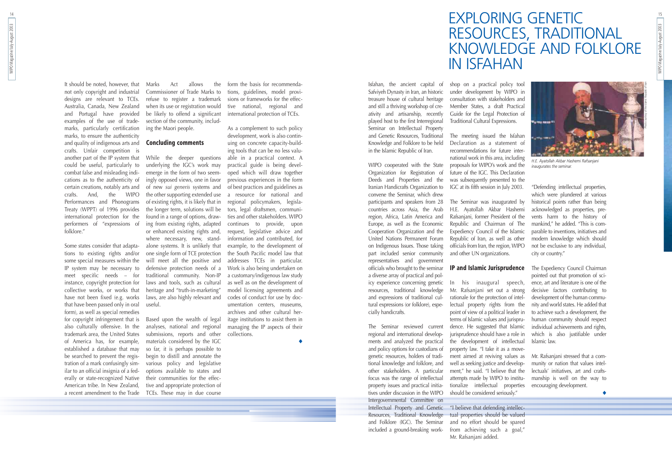## EXPLORING GENETIC RESOURCES, TRADITIONAL KNOWLEDGE AND FOLKLORE IN ISFAHAN

WIPO Magazine/July-August 2003

WIPO Magazine/July-August 2003

15

Isfahan, the ancient capital of Safviyeh Dynasty in Iran, an historic treasure house of cultural heritage and still a thriving workshop of creativity and artisanship, recently played host to the first Interregional Seminar on Intellectual Property and Genetic Resources, Traditional Knowledge and Folklore to be held in the Islamic Republic of Iran.

WIPO cooperated with the State Organization for Registration of Deeds and Properties and the Iranian Handicrafts Organization to convene the Seminar, which drew participants and speakers from 28 countries across Asia, the Arab region, Africa, Latin America and Europe, as well as the Economic Cooperation Organization and the United Nations Permanent Forum on Indigenous Issues. Those taking part included senior community representatives and government officials who brought to the seminar a diverse array of practical and policy experience concerning genetic In his inaugural speech, resources, traditional knowledge and expressions of traditional cultural expressions (or folklore), especially handicrafts.

The Seminar reviewed current regional and international developments and analyzed the practical and policy options for custodians of genetic resources, holders of traditional knowledge and folklore, and other stakeholders. A particular focus was the range of intellectual property issues and practical initiatives under discussion in the WIPO Intergovernmental Committee on

"I believe that defending intellectual properties should be valued and no effort should be spared from achieving such a goal," Mr. Rafsaniani added.

Intellectual Property and Genetic Resources, Traditional Knowledge and Folklore (IGC). The Seminar included a ground-breaking work-

shop on a practical policy tool under development by WIPO in consultation with stakeholders and Member States, a draft Practical Guide for the Legal Protection of Traditional Cultural Expressions.

The meeting issued the Isfahan Declaration as a statement of recommendations for future inter national work in this area, including proposals for WIPO's work and the future of the IGC. This Declaration was subsequently presented to the IGC at its fifth session in July 2003.

The Seminar was inaugurated by H.E. Ayatollah Akbar Hashemi Rafsanjani, former President of the Republic and Chairman of The Expediency Council of the Islamic Republic of Iran, as well as other officials from Iran, the region, WIPO and other UN organizations.

### **IP and Islamic Jurisprudence**

Mr. Rafsanjani set out a strong rationale for the protection of intellectual property rights from the point of view of a political leader in terms of Islamic values and jurisprudence. He suggested that Islamic jurisprudence should have a role in the development of intellectual property law. "I take it as a movement aimed at reviving values as well as seeking justice and development," he said. "I believe that the attempts made by WIPO to institutionalize intellectual properties should be considered seriously."

"Defending intellectual properties, which were plundered at various historical points rather than being acknowledged as properties, prevents harm to the history of mankind," he added. "This is comparable to inventions, initiatives and modern knowledge which should not be exclusive to any individual, city or country."

erally or state-recognized Native – their communities for the effec-Based upon the wealth of legal analyses, national and regional submissions, reports and other materials considered by the IGC so far, it is perhaps possible to begin to distill and annotate the various policy and legislative options available to states and tive and appropriate protection of TCEs. These may in due course

The Expediency Council Chairman pointed out that promotion of science, art and literature is one of the decisive factors contributing to development of the human community and world states. He added that to achieve such a development, the human community should respect individual achievements and rights, which is also justifiable under Islamic law.

Mr. Rafsanjani stressed that a community or nation that values intellectuals' initiatives, art and craftsmanship is well on the way to encouraging development.

◆

14

It should be noted, however, that not only copyright and industrial designs are relevant to TCEs. Australia, Canada, New Zealand and Portugal have provided examples of the use of trademarks, particularly certification marks, to ensure the authenticity and quality of indigenous arts and **Concluding comments** crafts. Unfair competition is another part of the IP system that While the deeper questions could be useful, particularly to combat false and misleading indications as to the authenticity of certain creations, notably arts and crafts. And, the WIPO Performances and Phonograms Treaty (WPPT) of 1996 provides international protection for the performers of "expressions of folklore."

Some states consider that adapta-alone systems. It is unlikely that tions to existing rights and/or some special measures within the IP system may be necessary to meet specific needs – for instance, copyright protection for collective works, or works that have not been fixed (e.g. works that have been passed only in oral form), as well as special remedies for copyright infringement that is also culturally offensive. In the trademark area, the United States of America has, for example, established a database that may be searched to prevent the registration of a mark confusingly similar to an official insignia of a fed-American tribe. In New Zealand, a recent amendment to the Trade

Marks Act allows the Commissioner of Trade Marks to refuse to register a trademark when its use or registration would be likely to offend a significant section of the community, including the Maori people.

underlying the IGC's work may emerge in the form of two seemingly opposed views, one in favor of new *sui generis* systems and the other supporting extended use of existing rights, it is likely that in the longer term, solutions will be found in a range of options, drawing from existing rights, adapted or enhanced existing rights and, where necessary, new, standone single form of TCE protection will meet all the positive and defensive protection needs of a traditional community. Non-IP laws and tools, such as cultural heritage and "truth-in-marketing" laws, are also highly relevant and useful.

form the basis for recommendations, guidelines, model provisions or frameworks for the effective national, regional and international protection of TCEs.

As a complement to such policy development, work is also continuing on concrete capacity-building tools that can be no less valuable in a practical context. A practical guide is being developed which will draw together previous experiences in the form of best practices and guidelines as a resource for national and regional policymakers, legislators, legal draftsmen, communities and other stakeholders. WIPO continues to provide, upon request, legislative advice and information and contributed, for example, to the development of the South Pacific model law that addresses TCEs in particular. Work is also being undertaken on a customary/indigenous law study as well as on the development of model licensing agreements and codes of conduct for use by documentation centers, museums, archives and other cultural heritage institutions to assist them in managing the IP aspects of their collections.

◆



*H.E. Ayatollah Akbar Hashemi Rafsanjani inaugurates the seminar.*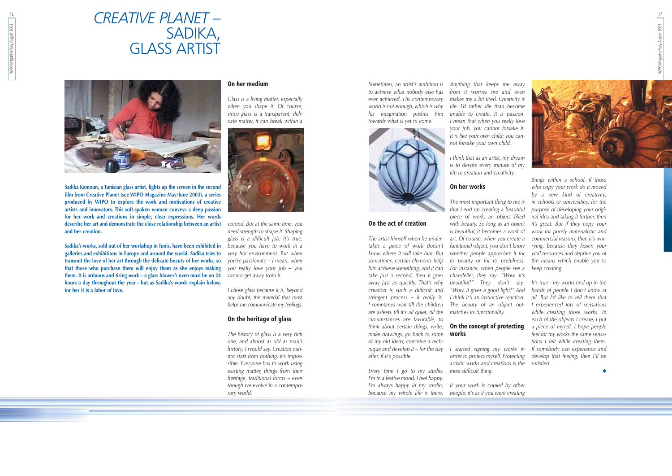*Sometimes, an artist's ambition is to achieve what nobody else has ever achieved. His contemporary world is not enough, which is why his imagination pushes him towards what is yet to come.*



#### **On the act of creation**

*The artist himself when he undertakes a piece of work doesn't know where it will take him. But sometimes, certain elements help him achieve something, and it can take just a second, then it goes away just as quickly. That's why creation is such a difficult and stringent process – it really is. I sometimes wait till the children are asleep, till it's all quiet, till the circumstances are favorable, to think about certain things, write, make drawings, go back to some of my old ideas, conceive a technique and develop it – for the day after, if it's possible.*

*Anything that keeps me away from it worries me and even makes me a bit tired. Creativity is life. I'd rather die than become unable to create. It is passion. I mean that when you really love your job, you cannot forsake it. It is like your own child: you cannot forsake your own child.*

*I think that as an artist, my dream is to devote every minute of my life to creation and creativity.*

### **On her works**

*Every time I go to my studio, most difficult thing. I'm in a festive mood, I feel happy. I'm always happy in my studio, because my whole life is there. people, it's as if you were creating*

*The most important thing to me is that I end up creating a beautiful piece of work, an object filled is beautiful, it becomes a work of functional object, you don't know whether people appreciate it for its beauty or for its usefulness. For instance, when people see a chandelier, they say: "Wow, it's beautiful!" They don't say: I think it's an instinctive reaction. The beauty of an object outmatches its functionality.*

### **works**

*I started signing my works in order to protect myself. Protecting artistic works and creations is the*

*with beauty. So long as an object it's great. But if they copy your art. Of course, when you create a commercial reasons, then it's worthings within a school. If those who copy your work do it moved by a new kind of creativity, in schools or universities, for the purpose of developing your original idea and taking it further, then work for purely materialistic and rying, because they lessen your vital resources and deprive you of the means which enable you to keep creating.*

*If your work is copied by other*

*"Wow, it gives a good light!" And hands of people I don't know at* **On the concept of protecting** *a piece of myself. I hope people It's true - my works end up in the all. But I'd like to tell them that I experienced lots of sensations while creating those works. In each of the objects I create, I put feel for my works the same sensations I felt while creating them. If somebody can experience and develop that feeling, then I'll be satisfied…*

◆

### *CREATIVE PLANET* – SADIKA, GLASS ARTIST



**Sadika Kamoun, a Tunisian glass artist, lights up the screen in the second film from Creative Planet (see WIPO Magazine May/June 2003), a series produced by WIPO to explore the work and motivations of creative artists and innovators. This soft-spoken woman conveys a deep passion for her work and creations in simple, clear expressions. Her words describe her art and demonstrate the close relationship between an artist and her creation.**

**Sadika's works, sold out of her workshop in Tunis, have been exhibited in galleries and exhibitions in Europe and around the world. Sadika tries to transmit the love of her art through the delicate beauty of her works, so that those who purchase them will enjoy them as she enjoys making them. It is arduous and tiring work – a glass blower's oven must be on 24 hours a day throughout the year - but as Sadika's words explain below, for her it is a labor of love.**

#### **On her medium**

*Glass is a living matter, especially when you shape it. Of course, since glass is a transparent, delicate matter, it can break within a*



*second. But at the same time, you need strength to shape it. Shaping glass is a difficult job, it's true, because you have to work in a very hot environment. But when you're passionate – I mean, when you really love your job – you cannot get away from it.*

*I chose glass because it is, beyond any doubt, the material that most helps me communicate my feelings.*

#### **On the heritage of glass**

*The history of glass is a very rich one, and almost as old as man's history, I would say. Creation cannot start from nothing, it's impossible. Everyone has to work using existing matter, things from their heritage, traditional forms – even though we evolve in a contemporary world.*

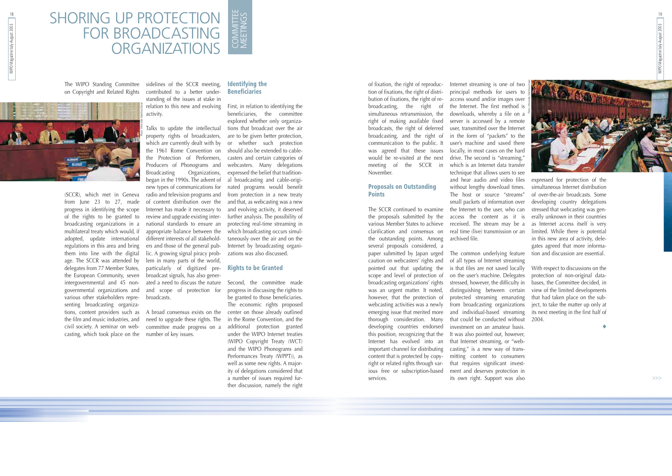of fixation, the right of reproduction of fixations, the right of distribution of fixations, the right of rebroadcasting, the right of simultaneous retransmission, the right of making available fixed broadcasts, the right of deferred broadcasting, and the right of communication to the public. It was agreed that these issues would be re-visited at the next meeting of the SCCR in November.

#### **Proposals on Outstanding Points**

The SCCR continued to examine the proposals submitted by the various Member States to achieve clarification and consensus on the outstanding points. Among several proposals considered, a paper submitted by Japan urged caution on webcasters' rights and pointed out that updating the scope and level of protection of broadcasting organizations' rights was an urgent matter. It noted, however, that the protection of webcasting activities was a newly emerging issue that merited more thorough consideration. Many developing countries endorsed this position, recognizing that the Internet has evolved into an important channel for distributing content that is protected by copyright or related rights through various free or subscription-based services.

Internet streaming is one of two principal methods for users to access sound and/or images over the Internet. The first method is downloads, whereby a file on a server is accessed by a remote user, transmitted over the Internet in the form of "packets" to the user's machine and saved there locally, in most cases on the hard drive. The second is "streaming," which is an Internet data transfer technique that allows users to see and hear audio and video files without lengthy download times. The host or source "streams" small packets of information over the Internet to the user, who can access the content as it is received. The stream may be a archived file.

### SHORING UP PROTECTION FOR BROADCASTING **ORGANIZATIONS** COMMITTEE COMMITTEE<br>MEETINGS

The common underlying feature of all types of Internet streaming is that files are not saved locally on the user's machine. Delegates stressed, however, the difficulty in distinguishing between certain protected streaming emanating from broadcasting organizations and individual-based streaming that could be conducted without 2004. investment on an amateur basis. It was also pointed out, however, that Internet streaming, or "webcasting," is a new way of transmitting content to consumers that requires significant investment and deserves protection in its own right. Support was also

real time (live) transmission or an limited. While there is potential expressed for protection of the simultaneous Internet distribution of over-the-air broadcasts. Some developing country delegations stressed that webcasting was generally unknown in their countries as Internet access itself is very in this new area of activity, delegates agreed that more information and discussion are essential.

of the rights to be granted to review and upgrade existing interage. The SCCR was attended by lem in many parts of the world, Talks to update the intellectual property rights of broadcasters, which are currently dealt with by the 1961 Rome Convention on the Protection of Performers, Producers of Phonograms and Broadcasting Organizations, began in the 1990s. The advent of new types of communications for radio and television programs and of content distribution over the Internet has made it necessary to national standards to ensure an appropriate balance between the different interests of all stakeholders and those of the general public. A growing signal piracy probparticularly of digitized prebroadcast signals, has also generated a need to discuss the nature and scope of protection for broadcasts.

With respect to discussions on the protection of non-original databases, the Committee decided, in view of the limited developments that had taken place on the subject, to take the matter up only at its next meeting in the first half of

◆

The WIPO Standing Committee sidelines of the SCCR meeting,

on Copyright and Related Rights contributed to a better understanding of the issues at stake in relation to this new and evolving activity.

(SCCR), which met in Geneva from June 23 to 27, made progress in identifying the scope broadcasting organizations in a multilateral treaty which would, if adopted, update international regulations in this area and bring them into line with the digital delegates from 77 Member States, the European Community, seven intergovernmental and 45 nongovernmental organizations and various other stakeholders representing broadcasting organizations, content providers such as A broad consensus exists on the center on those already outlined the film and music industries, and civil society. A seminar on webcasting, which took place on the number of key issues.

need to upgrade these rights. The committee made progress on a

#### **Identifying the Beneficiaries**

First, in relation to identifying the beneficiaries, the committee explored whether only organizations that broadcast over the air are to be given better protection, or whether such protection should also be extended to cablecasters and certain categories of webcasters. Many delegations expressed the belief that traditional broadcasting and cable-originated programs would benefit from protection in a new treaty and that, as webcasting was a new and evolving activity, it deserved further analysis. The possibility of protecting real-time streaming in which broadcasting occurs simultaneously over the air and on the Internet by broadcasting organizations was also discussed.

#### **Rights to be Granted**

Second, the committee made progress in discussing the rights to be granted to those beneficiaries. The economic rights proposed in the Rome Convention, and the additional protection granted under the WIPO Internet treaties (WIPO Copyright Treaty (WCT) and the WIPO Phonograms and Performances Treaty (WPPT)), as well as some new rights. A majority of delegations considered that a number of issues required further discussion, namely the right 19

>>>



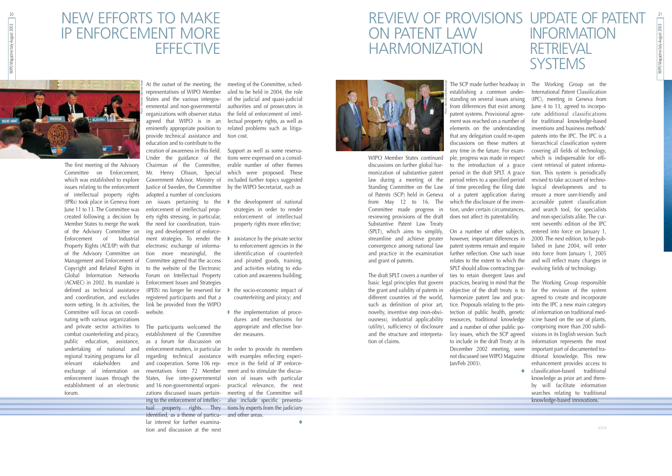WIPO Magazine/July-August 2003 212 WIPO Magazine/July-August 2003

WIPO Member States continued discussions on further global harmonization of substantive patent law during a meeting of the Standing Committee on the Law of Patents (SCP) held in Geneva from May 12 to 16. The Committee made progress in reviewing provisions of the draft Substantive Patent Law Treaty (SPLT), which aims to simplify, streamline and achieve greater convergence among national law and practice in the examination and grant of patents.

The draft SPLT covers a number of basic legal principles that govern the grant and validity of patents in different countries of the world, such as definition of prior art, novelty, inventive step (non-obviousness), industrial applicability (utility), sufficiency of disclosure and the structure and interpretation of claims.

establishing a common understanding on several issues arising that any delegation could re-open discussions on these matters at any time in the future. For example, progress was made in respect to the introduction of a grace period refers to a specified period of time preceding the filing date of a patent application during which the disclosure of the invendoes not affect its patentability.

> ◆ classification-based traditional knowledge as prior art and thereby will facilitate information searches relating to traditional knowledge-based innovations.

### NEW EFFORTS TO MAKE IP ENFORCEMENT MORE **EFFECTIVE**

### REVIEW OF PROVISIONS UPDATE OF PATENT ON PATENT LAW HARMONIZATION INFORMATION **RETRIEVAL SYSTEMS**

The SCP made further headway in The Working Group on the from differences that exist among June 4 to 13, agreed to incorpopatent systems. Provisional agree-rate additional classifications ment was reached on a number of for \_traditional \_knowledge-based elements on the understanding inventions and business-methods' period in the draft SPLT. A grace tion. This system is periodically tion, under certain circumstances, and search tool, for specialists International Patent Classification (IPC), meeting in Geneva from patents into the IPC. The IPC is a hierarchical classification system covering all fields of technology, which is indispensable for efficient retrieval of patent informarevised to take account of technological developments and to ensure a more user-friendly and accessible patent classification and non-specialists alike. The current (seventh) edition of the IPC

On a number of other subjects, however, important differences in patent systems remain and require further reflection. One such issue relates to the extent to which the and will reflect many changes in SPLT should allow contracting parties to retain divergent laws and practices, bearing in mind that the objective of the draft treaty is to harmonize patent law and practice. Proposals relating to the protection of public health, genetic resources, traditional knowledge and a number of other public policy issues, which the SCP agreed to include in the draft Treaty at its December 2002 meeting, were not discussed (see WIPO Magazine Jan/Feb 2003). entered into force on January 1, 2000. The next edition, to be published in June 2004, will enter into force from January 1, 2005 evolving fields of technology. The Working Group responsible for the revision of the system agreed to create and incorporate into the IPC a new main category of information on traditional medicine based on the use of plants, comprising more than 200 subdivisions in its English version. Such information represents the most important part of documented traditional knowledge. This new enhancement provides access to

- the development of national strategies in order to render enforcement of intellectual property rights more effective;
- assistance by the private sector to enforcement agencies in the identification of counterfeit and pirated goods, training, and activities relating to education and awareness building;
- the socio-economic impact of counterfeiting and piracy; and
- the implementation of procedures and mechanisms for appropriate and effective border measures.

## 20 WIPO Magazine/July-August 2003 WIPO Magazine/July-August 2003

Committee on Enforcement, which was established to explore issues relating to the enforcement of intellectual property rights adopted a number of conclusions (IPRs) took place in Geneva from June 11 to 13. The Committee was created following a decision by Member States to merge the work of the Advisory Committee on Enforcement of Industrial Property Rights (ACE/IP) with that of the Advisory Committee on Management and Enforcement of Copyright and Related Rights in Global Information Networks (ACMEC) in 2002. Its mandate is Enforcement Issues and Strategies defined as technical assistance and coordination, and excludes norm setting. In its activities, the Committee will focus on coordinating with various organizations and private sector activities to combat counterfeiting and piracy, public education, assistance, undertaking of national and regional training programs for all relevant stakeholders and exchange of information on enforcement issues through the forum.

At the outset of the meeting, the representatives of WIPO Member States and the various intergovernmental and non-governmental organizations with observer status agreed that WIPO is in an eminently appropriate position to provide technical assistance and education and to contribute to the creation of awareness in this field. Under the guidance of the Chairman of the Committee, Mr. Henry Olsson, Special Government Advisor, Ministry of Justice of Sweden, the Committee on issues pertaining to the enforcement of intellectual property rights stressing, in particular, the need for coordination, training and development of enforcement strategies. To render the electronic exchange of information more meaningful, the Committee agreed that the access to the website of the Electronic Forum on Intellectual Property (IPEIS) no longer be reserved for registered participants and that a link be provided from the WIPO website.

establishment of an electronic and 16 non-governmental organi-The participants welcomed the establishment of the Committee as a forum for discussion on enforcement matters, in particular regarding technical assistance and cooperation. Some 106 representatives from 72 Member States, five inter-governmental zations discussed issues pertaining to the enforcement of intellec-also include specific presentatual property rights. They tions by experts from the judiciary identified, as a theme of particular interest for further examination and discussion at the next



meeting of the Committee, scheduled to be held in 2004, the role of the judicial and quasi-judicial authorities and of prosecutors in the field of enforcement of intellectual property rights, as well as related problems such as litigation cost.

Support as well as some reservations were expressed on a considerable number of other themes which were proposed. These included further topics suggested by the WIPO Secretariat, such as

In order to provide its members with examples reflecting experience in the field of IP enforcement and to stimulate the discussion of issues with particular practical relevance, the next meeting of the Committee will and other areas.



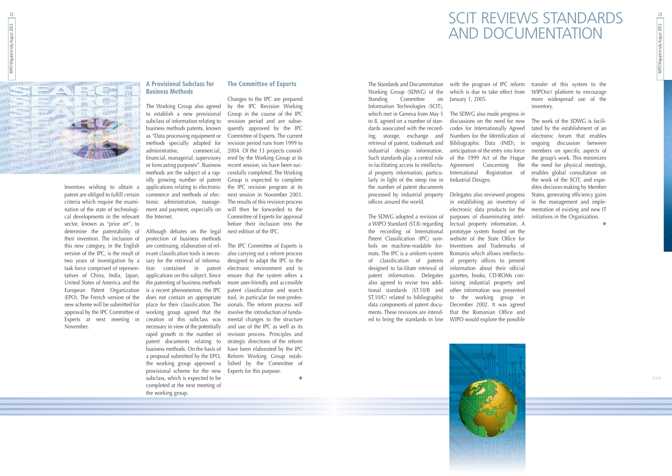### SCIT REVIEWS STANDARDS AND DOCUMENTATION

The Standards and Documentation Working Group (SDWG) of the Standing Committee on Information Technologies (SCIT), which met in Geneva from May 5 to 8, agreed on a number of standards associated with the recording, storage, exchange and retrieval of patent, trademark and industrial design information. Such standards play a central role in facilitating access to intellectual property information, particularly in light of the steep rise in the number of patent documents processed by industrial property offices around the world.

January 1, 2005.

The SDWG adopted a revision of a WIPO Standard (ST.8) regarding the recording of International Patent Classification (IPC) symbols on machine-readable formats. The IPC is a uniform system of classification of patents designed to facilitate retrieval of patent information. Delegates also agreed to revise two additional standards (ST.10/B and ST.10/C) related to bibliographic data components of patent documents. These revisions are intended to bring the standards in line WIPO would explore the possible

The SDWG also made progress in discussions on the need for new codes for Internationally Agreed Numbers for the Identification of Bibliographic Data (INID), in anticipation of the entry into force of the 1999 Act of the Hague Agreement Concerning the International Registration of Industrial Designs.

with the program of IPC reform transfer of this system to the which is due to take effect from WIPONET platform to encourage more widespread use of the inventory.

in establishing an inventory of electronic data products for the purposes of disseminating intellectual property information. A prototype system hosted on the website of the State Office for Inventions and Trademarks of Romania which allows intellectual property offices to present information about their official gazettes, books, CD-ROMs containing industrial property and other information was presented to the working group in December 2002. It was agreed that the Romanian Office and

Delegates also reviewed progress States, generating efficiency gains The work of the SDWG is facilitated by the establishment of an electronic forum that enables ongoing discussion between members on specific aspects of the group's work. This minimizes the need for physical meetings, enables global consultation on the work of the SCIT, and expedites decision-making by Member in the management and implementation of existing and new IT initiatives in the Organization.

◆



22

Inventors wishing to obtain a patent are obliged to fulfill certain criteria which require the examination of the state of technological developments in the relevant sector, known as "prior art", to determine the patentability of their invention. The inclusion of this new category, in the English version of the IPC, is the result of two years of investigation by a task force comprised of representatives of China, India, Japan, United States of America and the European Patent Organization (EPO). The French version of the new scheme will be submitted for approval by the IPC Committee of Experts at next meeting in November.

#### **A Provisional Subclass for Business Methods**

The Working Group also agreed to establish a new provisional subclass of information relating to business methods patents, known as "Data processing equipment or methods specially adapted for administrative, commercial, financial, managerial, supervisory or forecasting purposes". Business methods are the subject of a rapidly growing number of patent applications relating to electronic commerce and methods of electronic administration, management and payment, especially on the Internet.

Although debates on the legal protection of business methods are continuing, elaboration of relevant classification tools is necessary for the retrieval of information contained in patent applications on this subject. Since the patenting of business methods is a recent phenomenon, the IPC does not contain an appropriate place for their classification. The working group agreed that the creation of this subclass was necessary in view of the potentially rapid growth in the number of patent documents relating to business methods. On the basis of a proposal submitted by the EPO, the working group approved a provisional scheme for the new subclass, which is expected to be completed at the next meeting of the working group.

#### **The Committee of Experts**

Changes to the IPC are prepared by the IPC Revision Working Group in the course of the IPC revision period and are subsequently approved by the IPC Committee of Experts. The current revision period runs from 1999 to 2004. Of the 13 projects considered by the Working Group at its recent session, six have been successfully completed. The Working Group is expected to complete the IPC revision program at its next session in November 2003. The results of this revision process will then be forwarded to the Committee of Experts for approval before their inclusion into the next edition of the IPC.

The IPC Committee of Experts is also carrying out a reform process designed to adapt the IPC to the electronic environment and to ensure that the system offers a more user-friendly and accessible patent classification and search tool, in particular for non-professionals. The reform process will involve the introduction of fundamental changes to the structure and use of the IPC as well as its revision process. Principles and strategic directions of the reform have been elaborated by the IPC Reform Working Group established by the Committee of Experts for this purpose.

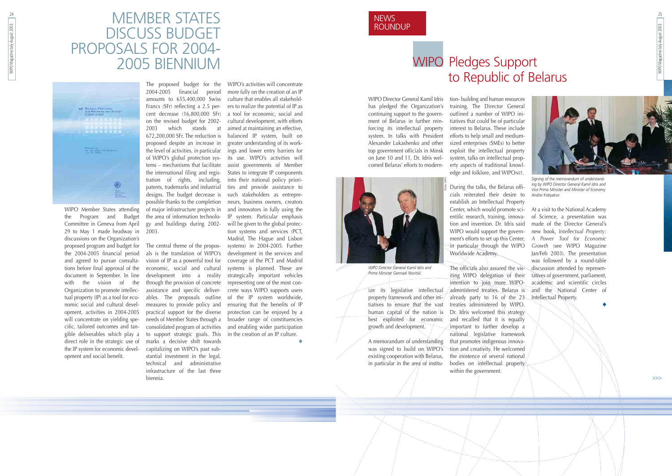**NEWS** ROUNDUP 25



WIPO Director General Kamil Idris has pledged the Organization's continuing support to the government of Belarus in further reinforcing its intellectual property system. In talks with President Alexander Lukashenko and other top government officials in Minsk on June 10 and 11, Dr. Idris welcomed Belarus' efforts to modern-



ize its legislative intellectual property framework and other initiatives to ensure that the vast human capital of the nation/is best exploited for economic growth and development.

A memorandum of understanding was signed to build on WIPO's existing cooperation with Belarus, in particular in the area of institution- building and human resources training. The Director General outlined a number of WIPO ini tiatives that could be of particular interest to Belarus. These include efforts to help small and medium sized enterprises (SMEs) to better exploit the intellectual property system, talks on intellectual prop erty aspects of traditional knowl edge and folklore, and WIPONET.

### MEMBER STATES DISCUSS BUDGET PROPOSALS FOR 2004- EN DISCUSS BUDGET<br>PROPOSALS FOR 2004-<br>2005 BIENNIUM



cials reiterated their desire to establish an Intellectual Property Center, which would promote sci entific research, training, innova tion and invention. Dr. Idris said WIPO would support the govern in particular through the WIPO Worldwide Academy.

iting WIPO delegation of their intention to join more WIPOadministered treaties. Belarus is already party to 16 of the 23 treaties administered by WIPO. Dr. Idris welcomed this strategy and recalled that it is equally important to further develop a national legislative framework that promotes indigenous innovation and creativity. He welcomed the existence of several national bodies on intellectual property within the government.

ment's efforts to set up this Center, *A Power Tool for Economic* The officials also assured the vis-discussion attended by represen-At a visit to the National Academy of Science, a presentation was made of the Director General's new book, *Intellectual Property: Growth* (see WIPO Magazine Jan/Feb 2003). The presentation was followed by a round-table tatives of government, parliament, academic and scientific circles and the National Center of Intellectual Property.

◆

WIPO Member States attending the Program and Budget Committee in Geneva from April 29 to May 1 made headway in 2003. discussions on the Organization's proposed program and budget for the 2004-2005 financial period and agreed to pursue consultations before final approval of the document in September. In line with the vision of the Organization to promote intellectual property (IP) as a tool for economic social and cultural development, activities in 2004-2005 will concentrate on yielding specific, tailored outcomes and tangible deliverables which play a direct role in the strategic use of the IP system for economic development and social benefit.

The proposed budget for the 2004-2005 financial period amounts to 655,400,000 Swiss Francs (SFr) reflecting a 2.5 percent decrease (16,800,000 SFr) on the revised budget for 2002- 2003 which stands at 672,200,000 SFr. The reduction is proposed despite an increase in the level of activities, in particular of WIPO's global protection systems – mechanisms that facilitate the international filing and registration of rights, including, patents, trademarks and industrial designs. The budget decrease is possible thanks to the completion of major infrastructure projects in the area of information technology and buildings during 2002-

During the talks, the Belarus offi- *Photos WIPOSigning of the memorandum of understand- ing by WIPO Director General Kamil Idris and Vice Prime Minister and Minister of Economy Andrei Kobyakov*

The central theme of the proposals is the translation of WIPO's vision of IP as a powerful tool for economic, social and cultural development into a reality through the provision of concrete assistance and specific deliverables. The proposals outline measures to provide policy and practical support for the diverse needs of Member States through a consolidated program of activities to support strategic goals. This marks a decisive shift towards capitalizing on WIPO's past substantial investment in the legal, technical and administrative infrastructure of the last three biennia.

WIPO's activities will concentrate more fully on the creation of an IP culture that enables all stakeholders to realize the potential of IP as a tool for economic, social and cultural development, with efforts aimed at maintaining an effective, balanced IP system, built on greater understanding of its workings and lower entry barriers for its use. WIPO's activities will assist governments of Member States to integrate IP components into their national policy priorities and provide assistance to such stakeholders as entrepreneurs, business owners, creators and innovators in fully using the IP system. Particular emphasis will be given to the global protection systems and services (PCT, Madrid, The Hague and Lisbon systems) in 2004-2005. Further development in the services and coverage of the PCT and Madrid systems is planned. These are strategically important vehicles representing one of the most concrete ways WIPO supports users of the IP system worldwide, ensuring that the benefits of IP protection can be enjoyed by a broader range of constituencies and enabling wider participation in the creation of an IP culture. ◆

>>>

### WIPO Pledges Support to Republic of Belarus

*WIPO Director General Kamil Idris and Prime Minister Gennadi Novitski*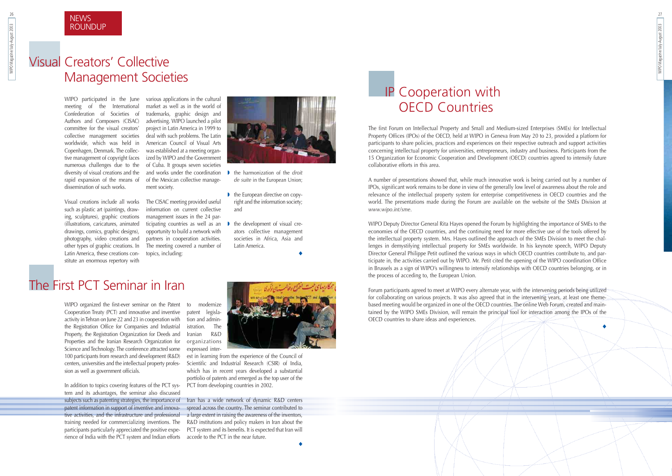27

The first Forum on Intellectual Property and Small and Medium-sized Enterprises (SMEs) for Intellectual Property Offices (IPOs) of the OECD, held at WIPO in Geneva from May 20 to 23, provided a platform for participants to share policies, practices and experiences on their respective outreach and support activities concerning intellectual property for universities, entrepreneurs, industry and business. Participants from the 15 Organization for Economic Cooperation and Development (OECD) countries agreed to intensify future collaborative efforts in this area.

A number of presentations showed that, while much innovative work is being carried out by a number of IPOs, significant work remains to be done in view of the generally low level of awareness about the role and relevance of the intellectual property system for enterprise competitiveness in OECD countries and the world. The presentations made during the Forum are available on the website of the SMEs Division at *www.wipo.int/sme*.

WIPO Deputy Director General Rita Hayes opened the Forum by highlighting the importance of SMEs to the economies of the OECD countries, and the continuing need for more effective use of the tools offered by the intellectual property system. Mrs. Hayes outlined the approach of the SMEs Division to meet the challenges in demystifying intellectual property for SMEs worldwide. In his keynote speech, WIPO Deputy Director General Philippe Petit outlined the various ways in which OECD countries contribute to, and participate in, the activities carried out by WIPO. Mr. Petit cited the opening of the WIPO coordination Office in Brussels as a sign of WIPO's willingness to intensify relationships with OECD countries belonging, or in the process of acceding to, the European Union.

Forum participants agreed to meet at WIPO every alternate year, with the intervening periods being utilized for collaborating on various projects. It was also agreed that in the intervening years, at least one themebased meeting would be organized in one of the OECD countries. The online Web Forum, created and maintained by the WIPO SMEs Division, will remain the principal tool for interaction among the IPOs of the OECD countries to share ideas and experiences.

WIPO participated in the June various-applications-in-the-cultural meeting of the International Confederation of Societies of Authors and Composers (CISAC) committee for the visual creators' collective management societies worldwide, which was held in Copenhagen, Denmark. The collective management of copyright faces numerous challenges due to the diversity of visual creations and the rapid expansion of the means of artifiche Mexican collective managedissemination of such works.

◆



WIPO Magazine/July-August 2003

WIPO Magazine/July-August 2003

26

### **NEWS ROUNDUP**

WIPO organized the first-ever seminar on the Patent Cooperation Treaty (PCT) and innovative and inventive activity in Tehran on June 22 and 23 in cooperation with the Registration Office for Companies and Industrial Property, the Registration Organization for Deeds and Properties and the Iranian Research Organization for Science and Technology. The conference attracted some 100 participants from research and development (R&D) centers, universities and the intellectual property profession as well as government officials.

In addition to topics covering features of the PCT system and its advantages, the seminar also discussed subjects such as patenting strategies, the importance of patent information in support of inventive and innovative activities, and the infrastructure and professional training needed for commercializing inventions. The participants particularly appreciated the positive experience of India with the PCT system and Indian efforts

to modernize patent legislation and administration. The Iranian R&D organizations expressed inter-

est in learning from the experience of the Council of Scientific and Industrial Research (CSIR) of India, which has in recent years developed a substantial portfolio of patents and emerged as the top user of the PCT from developing countries in 2002.

Iran has a wide network of dynamic R&D centers spread across the country. The seminar contributed to a large extent in raising the awareness of the inventors, R&D institutions and policy makers in Iran about the PCT system and its benefits. It is expected that Iran will accede to the PCT in the near future.



◆

Visual creations include all works such as plastic art (paintings, drawing, sculptures), graphic creations management issues in the 24 par-(illustrations, caricatures, animated drawings, comics, graphic designs), photography, video creations and other types of graphic creations. In Latin America, these creations constitute an enormous repertory with

market as well as in the world of trademarks, graphic design and advertising. WIPO launched a pilot project in Latin America in 1999 to deal with such problems. The Latin American Council of Visual Arts was established at a meeting organized by WIPO and the Government of Cuba. It groups seven societies and works under the coordination ment society.

The CISAC meeting provided useful information on current collective ticipating countries as well as an opportunity to build a network with partners in cooperation activities. The meeting covered a number of topics, including:



- ◗ the harmonization of the *droit de suite* in the European Union;
- the European directive on copyright and the information society; and
- the development of visual creators collective management societies in Africa, Asia and Latin America.

◆

### Visual Creators' Collective Management Societies

### The First PCT Seminar in Iran

## IP Cooperation with OECD Countries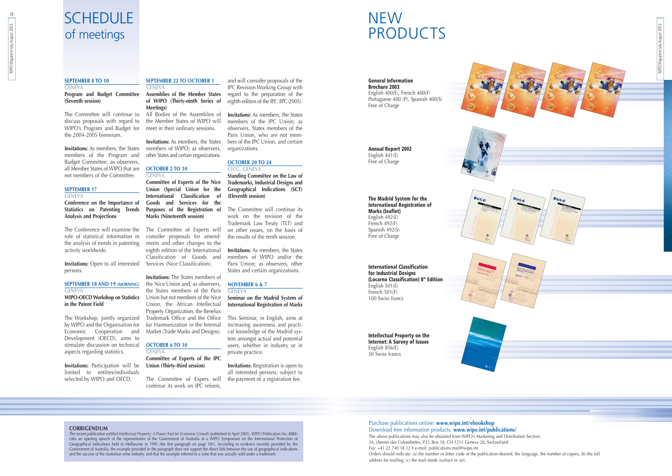### **SCHEDULE** of meetings

## **NEW** PRODUCTS



**General Information Brochure 2003** English 400(E), French 400(F) Portuguese 400 (P), Spanish 400(S)

Free of Charge

**Annual Report 2002** English  $441(E)$ Free of Charge

**The Madrid System for the International Registration of Marks (leaflet)** English 492(E) French 492(F) Spanish 492(S) Free of Charge

**International Classification for Industrial Designs (Locarno Classification) 8th Edition** English 501(E) French 501(F) 100 Swiss francs

**Intellectual Property on the Internet: A Survey of Issues** English 856(E) 30 Swiss francs

28

#### **SEPTEMBER 8 TO 10**

#### **GENEVA Program and Budget Committee Assemblies of the Member States (Seventh session)**

The Committee will continue to discuss proposals with regard to the Member States of WIPO will WIPO's Program and Budget for meet in their ordinary sessions. the 2004-2005 biennium.

**Invitations:** As members, the States members of WIPO; as observers, members of the Program and Budget Committee; as observers, all Member States of WIPO that are **OCTOBER 2 TO 10** not members of the Committee.

#### **SEPTEMBER 17**

#### **GENEVA**

**Conference on the Importance of Statistics on Patenting Trends Analysis and Projections**

The Conference will examine the The Committee of Experts will role of statistical information in the analysis of trends in patenting ments and other changes to the activity worldwide.

**Invitations:** Open to all interested Services (Nice Classification). persons.

#### **SEPTEMBER 18 AND 19 (MORNING) GENEVA**

#### **WIPO-OECD Workshop on Statistics in the Patent Field**

The Workshop, jointly organized Trademark Office and the Office by WIPO and the Organisation for for Harmonization in the Internal Economic Cooperation and Development (OECD), aims to stimulate discussion on technical **OCTOBER 6 TO 10** aspects regarding statistics.

**Invitations:** Participation will be limited to entities/individuals selected by WIPO and OECD.

#### **SEPTEMBER 22 TO OCTOBER 1 GENEVA**

**of WIPO (Thirty-ninth Series of Meetings)** All Bodies of the Assemblies of

**Invitations:** As members, the States other States and certain organizations.

**GENEVA Committee of Experts of the Nice Union (Special Union for the International Classification of Goods and Services for the Purposes of the Registration of Marks (Nineteenth session)**

consider proposals for amendeighth edition of the International Classification of Goods and

**Invitations:** The States members of the Nice Union and, as observers, the States members of the Paris Union but not members of the Nice Union, the African Intellectual Property Organization, the Benelux Market (Trade Marks and Designs).

**GENEVA**

**Committee of Experts of the IPC Union (Thirty-third session)**

The Committee of Expers will continue its work on IPC reform,

and will consider proposals of the IPC Revision Working Group with regard to the preparation of the eighth edition of the IPC (IPC-2005).

**Invitations:** As members, the States members of the IPC Union; as observers, States members of the Paris Union, who are not members of the IPC Union, and certain organizations.

#### **OCTOBER 20 TO 24 CICG, GENEVA**

**Standing Committee on the Law of Trademarks, Industrial Designs and Geographical Indications (SCT) (Eleventh session)**

The Committee will continue its work on the revision of the Trademark Law Treaty (TLT) and on other issues, on the basis of the results of the tenth session.

**Invitations:** As members, the States members of WIPO and/or the Paris Union; as observers, other States and certain organizations.

#### **NOVEMBER 6 & 7**

#### **GENEVA Seminar on the Madrid System of International Registration of Marks**

This Seminar, in English, aims at increasing awareness and practical knowledge of the Madrid system amongst actual and potential users, whether in industry or in private practice.

**Invitations:** Registration is open to all interested persons, subject to the payment of a registration fee.

#### **CORRIGENDUM**

The recent publication entitled *Intellectual Property: A Power Tool for Economic Growth* (published in April 2003; WIPO Publication No. 888E) cites an opening speech of the representative of the Government of Australia at a WIPO Symposium on the International Protection of Geographical Indications held in Melbourne in 1995 (the first paragraph on page 181). According to evidence recently provided by the Government of Australia, the example provided in the paragraph does not support the direct link between the use of geographical indications and the success of the Australian wine industry, and that the example referred to a wine that was actually sold under a trademark.



Orders should indicate: (a) the number or letter code of the publication desired, the language, the number of copies; (b) the full

address for mailing; (c) the mail mode (surface or air).